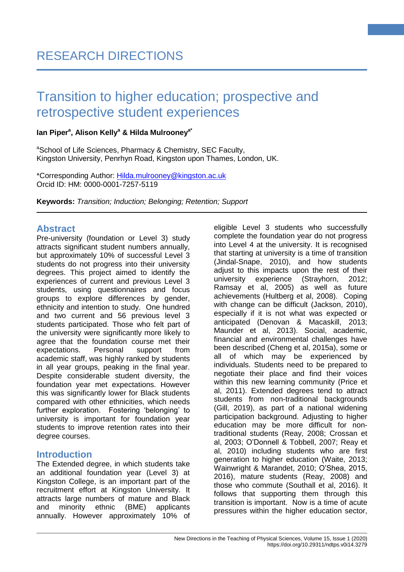#### **Ian Piper<sup>a</sup> , Alison Kelly<sup>a</sup> & Hilda Mulrooneya\***

aSchool of Life Sciences, Pharmacy & Chemistry, SEC Faculty, Kingston University, Penrhyn Road, Kingston upon Thames, London, UK.

\*Corresponding Author: [Hilda.mulrooney@kingston.ac.uk](mailto:Hilda.mulrooney@kingston.ac.uk) Orcid ID: HM: 0000-0001-7257-5119

**Keywords:** *Transition; Induction; Belonging; Retention; Support*

### **Abstract**

Pre-university (foundation or Level 3) study attracts significant student numbers annually, but approximately 10% of successful Level 3 students do not progress into their university degrees. This project aimed to identify the experiences of current and previous Level 3 students, using questionnaires and focus groups to explore differences by gender, ethnicity and intention to study. One hundred and two current and 56 previous level 3 students participated. Those who felt part of the university were significantly more likely to agree that the foundation course met their expectations. Personal support from academic staff, was highly ranked by students in all year groups, peaking in the final year. Despite considerable student diversity, the foundation year met expectations. However this was significantly lower for Black students compared with other ethnicities, which needs further exploration. Fostering 'belonging' to university is important for foundation year students to improve retention rates into their degree courses.

## **Introduction**

The Extended degree, in which students take an additional foundation year (Level 3) at Kingston College, is an important part of the recruitment effort at Kingston University. It attracts large numbers of mature and Black and minority ethnic (BME) applicants annually. However approximately 10% of eligible Level 3 students who successfully complete the foundation year do not progress into Level 4 at the university. It is recognised that starting at university is a time of transition (Jindal-Snape, 2010), and how students adjust to this impacts upon the rest of their university experience (Strayhorn, 2012; Ramsay et al, 2005) as well as future achievements (Hultberg et al, 2008). Coping with change can be difficult (Jackson, 2010), especially if it is not what was expected or anticipated (Denovan & Macaskill, 2013; Maunder et al, 2013). Social, academic, financial and environmental challenges have been described (Cheng et al, 2015a), some or all of which may be experienced by individuals. Students need to be prepared to negotiate their place and find their voices within this new learning community (Price et al, 2011). Extended degrees tend to attract students from non-traditional backgrounds (Gill, 2019), as part of a national widening participation background. Adjusting to higher education may be more difficult for nontraditional students (Reay, 2008; Crossan et al, 2003; O'Donnell & Tobbell, 2007; Reay et al, 2010) including students who are first generation to higher education (Waite, 2013; Wainwright & Marandet, 2010; O'Shea, 2015, 2016), mature students (Reay, 2008) and those who commute (Southall et al, 2016). It follows that supporting them through this transition is important. Now is a time of acute pressures within the higher education sector,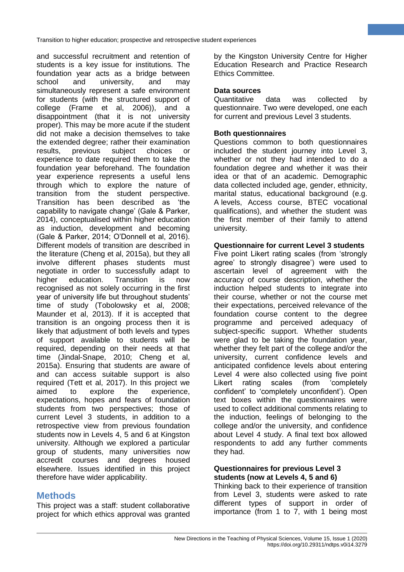and successful recruitment and retention of students is a key issue for institutions. The foundation year acts as a bridge between school and university, and may simultaneously represent a safe environment for students (with the structured support of college (Frame et al, 2006)), and a disappointment (that it is not university proper). This may be more acute if the student did not make a decision themselves to take the extended degree; rather their examination results, previous subject choices or experience to date required them to take the foundation year beforehand. The foundation year experience represents a useful lens through which to explore the nature of transition from the student perspective. Transition has been described as 'the capability to navigate change' (Gale & Parker, 2014), conceptualised within higher education as induction, development and becoming (Gale & Parker, 2014; O'Donnell et al, 2016). Different models of transition are described in the literature (Cheng et al, 2015a), but they all involve different phases students must negotiate in order to successfully adapt to higher education. Transition is now recognised as not solely occurring in the first year of university life but throughout students' time of study (Tobolowsky et al, 2008; Maunder et al, 2013). If it is accepted that transition is an ongoing process then it is likely that adjustment of both levels and types of support available to students will be required, depending on their needs at that time (Jindal-Snape, 2010; Cheng et al, 2015a). Ensuring that students are aware of and can access suitable support is also required (Tett et al, 2017). In this project we aimed to explore the experience, expectations, hopes and fears of foundation students from two perspectives; those of current Level 3 students, in addition to a retrospective view from previous foundation students now in Levels 4, 5 and 6 at Kingston university. Although we explored a particular group of students, many universities now accredit courses and degrees housed elsewhere. Issues identified in this project therefore have wider applicability.

# **Methods**

This project was a staff: student collaborative project for which ethics approval was granted by the Kingston University Centre for Higher Education Research and Practice Research Ethics Committee.

#### **Data sources**

Quantitative data was collected by questionnaire. Two were developed, one each for current and previous Level 3 students.

#### **Both questionnaires**

Questions common to both questionnaires included the student journey into Level 3, whether or not they had intended to do a foundation degree and whether it was their idea or that of an academic. Demographic data collected included age, gender, ethnicity, marital status, educational background (e.g. A levels, Access course, BTEC vocational qualifications), and whether the student was the first member of their family to attend university.

#### **Questionnaire for current Level 3 students**

Five point Likert rating scales (from 'strongly agree' to strongly disagree') were used to ascertain level of agreement with the accuracy of course description, whether the induction helped students to integrate into their course, whether or not the course met their expectations, perceived relevance of the foundation course content to the degree programme and perceived adequacy of subject-specific support. Whether students were glad to be taking the foundation year, whether they felt part of the college and/or the university, current confidence levels and anticipated confidence levels about entering Level 4 were also collected using five point Likert rating scales (from 'completely confident' to 'completely unconfident'). Open text boxes within the questionnaires were used to collect additional comments relating to the induction, feelings of belonging to the college and/or the university, and confidence about Level 4 study. A final text box allowed respondents to add any further comments they had.

#### **Questionnaires for previous Level 3 students (now at Levels 4, 5 and 6)**

Thinking back to their experience of transition from Level 3, students were asked to rate different types of support in order of importance (from 1 to 7, with 1 being most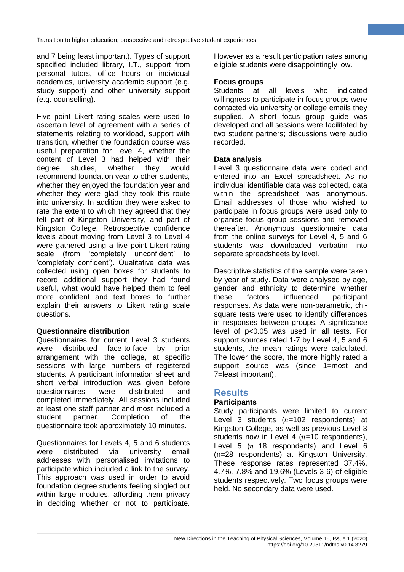and 7 being least important). Types of support specified included library, I.T., support from personal tutors, office hours or individual academics, university academic support (e.g. study support) and other university support (e.g. counselling).

Five point Likert rating scales were used to ascertain level of agreement with a series of statements relating to workload, support with transition, whether the foundation course was useful preparation for Level 4, whether the content of Level 3 had helped with their degree studies, whether they would recommend foundation year to other students, whether they enjoyed the foundation year and whether they were glad they took this route into university. In addition they were asked to rate the extent to which they agreed that they felt part of Kingston University, and part of Kingston College. Retrospective confidence levels about moving from Level 3 to Level 4 were gathered using a five point Likert rating scale (from 'completely unconfident' to 'completely confident'). Qualitative data was collected using open boxes for students to record additional support they had found useful, what would have helped them to feel more confident and text boxes to further explain their answers to Likert rating scale questions.

#### **Questionnaire distribution**

Questionnaires for current Level 3 students were distributed face-to-face by prior arrangement with the college, at specific sessions with large numbers of registered students. A participant information sheet and short verbal introduction was given before questionnaires were distributed and completed immediately. All sessions included at least one staff partner and most included a student partner. Completion of the questionnaire took approximately 10 minutes.

Questionnaires for Levels 4, 5 and 6 students were distributed via university email addresses with personalised invitations to participate which included a link to the survey. This approach was used in order to avoid foundation degree students feeling singled out within large modules, affording them privacy in deciding whether or not to participate. However as a result participation rates among eligible students were disappointingly low.

#### **Focus groups**

Students at all levels who indicated willingness to participate in focus groups were contacted via university or college emails they supplied. A short focus group guide was developed and all sessions were facilitated by two student partners; discussions were audio recorded.

#### **Data analysis**

Level 3 questionnaire data were coded and entered into an Excel spreadsheet. As no individual identifiable data was collected, data within the spreadsheet was anonymous. Email addresses of those who wished to participate in focus groups were used only to organise focus group sessions and removed thereafter. Anonymous questionnaire data from the online surveys for Level 4, 5 and 6 students was downloaded verbatim into separate spreadsheets by level.

Descriptive statistics of the sample were taken by year of study. Data were analysed by age, gender and ethnicity to determine whether these factors influenced participant responses. As data were non-parametric, chisquare tests were used to identify differences in responses between groups. A significance level of p<0.05 was used in all tests. For support sources rated 1-7 by Level 4, 5 and 6 students, the mean ratings were calculated. The lower the score, the more highly rated a support source was (since 1=most and 7=least important).

#### **Results**

#### **Participants**

Study participants were limited to current Level 3 students  $(n=102$  respondents) at Kingston College, as well as previous Level 3 students now in Level 4  $(n=10$  respondents), Level 5  $(n=18$  respondents) and Level 6 (n=28 respondents) at Kingston University. These response rates represented 37.4%, 4.7%, 7.8% and 19.6% (Levels 3-6) of eligible students respectively. Two focus groups were held. No secondary data were used.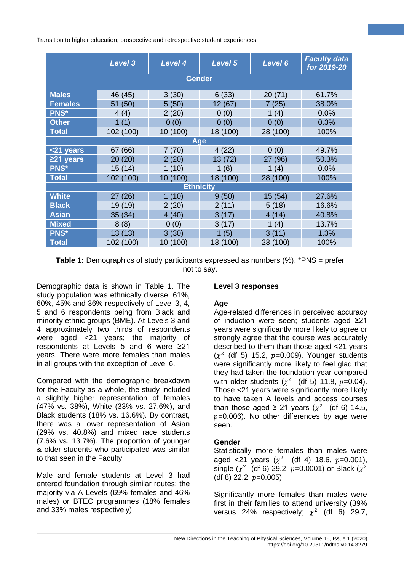|                  | <b>Level 3</b> | <b>Level 4</b> | Level 5  | Level 6  | <b>Faculty data</b><br>for 2019-20 |  |
|------------------|----------------|----------------|----------|----------|------------------------------------|--|
| <b>Gender</b>    |                |                |          |          |                                    |  |
| <b>Males</b>     | 46 (45)        | 3(30)          | 6(33)    | 20(71)   | 61.7%                              |  |
| <b>Females</b>   | 51 (50)        | 5(50)          | 12 (67)  | 7(25)    | 38.0%                              |  |
| <b>PNS*</b>      | 4(4)           | 2(20)          | 0(0)     | 1(4)     | 0.0%                               |  |
| <b>Other</b>     | 1(1)           | 0(0)           | 0(0)     | 0(0)     | 0.3%                               |  |
| <b>Total</b>     | 102 (100)      | 10 (100)       | 18 (100) | 28 (100) | 100%                               |  |
| <b>Age</b>       |                |                |          |          |                                    |  |
| <21 years        | 67 (66)        | 7(70)          | 4(22)    | 0(0)     | 49.7%                              |  |
| $221$ years      | 20 (20)        | 2(20)          | 13 (72)  | 27 (96)  | 50.3%                              |  |
| PNS*             | 15 (14)        | 1(10)          | 1(6)     | 1 $(4)$  | 0.0%                               |  |
| <b>Total</b>     | 102 (100)      | 10 (100)       | 18 (100) | 28 (100) | 100%                               |  |
| <b>Ethnicity</b> |                |                |          |          |                                    |  |
| <b>White</b>     | 27(26)         | 1(10)          | 9(50)    | 15 (54)  | 27.6%                              |  |
| <b>Black</b>     | 19 (19)        | 2(20)          | 2(11)    | 5(18)    | 16.6%                              |  |
| <b>Asian</b>     | 35(34)         | 4(40)          | 3(17)    | 4(14)    | 40.8%                              |  |
| <b>Mixed</b>     | 8(8)           | 0(0)           | 3(17)    | 1(4)     | 13.7%                              |  |
| <b>PNS*</b>      | 13(13)         | 3(30)          | 1(5)     | 3(11)    | 1.3%                               |  |
| <b>Total</b>     | 102 (100)      | 10 (100)       | 18 (100) | 28 (100) | 100%                               |  |

**Table 1:** Demographics of study participants expressed as numbers (%). \*PNS = prefer not to say.

Demographic data is shown in Table 1. The study population was ethnically diverse; 61%, 60%, 45% and 36% respectively of Level 3, 4, 5 and 6 respondents being from Black and minority ethnic groups (BME). At Levels 3 and 4 approximately two thirds of respondents were aged <21 years; the majority of respondents at Levels 5 and 6 were ≥21 years. There were more females than males in all groups with the exception of Level 6.

Compared with the demographic breakdown for the Faculty as a whole, the study included a slightly higher representation of females (47% vs. 38%), White (33% vs. 27.6%), and Black students (18% vs. 16.6%). By contrast, there was a lower representation of Asian (29% vs. 40.8%) and mixed race students (7.6% vs. 13.7%). The proportion of younger & older students who participated was similar to that seen in the Faculty.

Male and female students at Level 3 had entered foundation through similar routes; the majority via A Levels (69% females and 46% males) or BTEC programmes (18% females and 33% males respectively).

#### **Level 3 responses**

## **Age**

Age-related differences in perceived accuracy of induction were seen; students aged ≥21 years were significantly more likely to agree or strongly agree that the course was accurately described to them than those aged <21 years  $(x^2)$  (df 5) 15.2,  $p=0.009$ ). Younger students were significantly more likely to feel glad that they had taken the foundation year compared with older students ( $\chi^2$  (df 5) 11.8, p=0.04). Those <21 years were significantly more likely to have taken A levels and access courses than those aged  $\geq 21$  years ( $\chi^2$  (df 6) 14.5,  $p=0.006$ ). No other differences by age were seen.

#### **Gender**

Statistically more females than males were aged <21 years  $(\chi^2 \text{ (df 4) 18.6, } p=0.001),$ single ( $\chi^2$  (df 6) 29.2, p=0.0001) or Black ( $\chi^2$ (df 8) 22.2,  $p=0.005$ ).

Significantly more females than males were first in their families to attend university (39% versus 24% respectively;  $\chi^2$  (df 6) 29.7,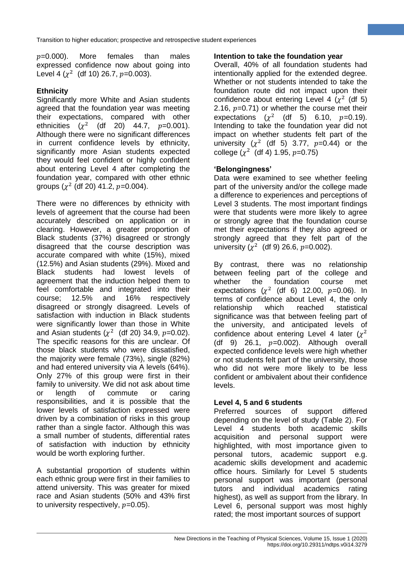$p=0.000$ ). More females than males expressed confidence now about going into Level 4  $(\chi^2 \text{ (df 10) 26.7}, p=0.003)$ .

## **Ethnicity**

Significantly more White and Asian students agreed that the foundation year was meeting their expectations, compared with other ethnicities  $(\chi^2 \text{ (df } 20) \text{ 44.7}, p=0.001).$ Although there were no significant differences in current confidence levels by ethnicity, significantly more Asian students expected they would feel confident or highly confident about entering Level 4 after completing the foundation year, compared with other ethnic groups  $(\chi^2 \text{ (df 20) } 41.2, p=0.004).$ 

There were no differences by ethnicity with levels of agreement that the course had been accurately described on application or in clearing. However, a greater proportion of Black students (37%) disagreed or strongly disagreed that the course description was accurate compared with white (15%), mixed (12.5%) and Asian students (29%). Mixed and Black students had lowest levels of agreement that the induction helped them to feel comfortable and integrated into their<br>course; 12.5% and 16% respectively course; 12.5% and 16% respectively disagreed or strongly disagreed. Levels of satisfaction with induction in Black students were significantly lower than those in White and Asian students  $(\chi^2 \text{ (df 20) 34.9, } p=0.02)$ . The specific reasons for this are unclear. Of those black students who were dissatisfied, the majority were female (73%), single (82%) and had entered university via A levels (64%). Only 27% of this group were first in their family to university. We did not ask about time or length of commute or caring responsibilities, and it is possible that the lower levels of satisfaction expressed were driven by a combination of risks in this group rather than a single factor. Although this was a small number of students, differential rates of satisfaction with induction by ethnicity would be worth exploring further.

A substantial proportion of students within each ethnic group were first in their families to attend university. This was greater for mixed race and Asian students (50% and 43% first to university respectively,  $p=0.05$ ).

#### **Intention to take the foundation year**

Overall, 40% of all foundation students had intentionally applied for the extended degree. Whether or not students intended to take the foundation route did not impact upon their confidence about entering Level 4 ( $\chi^2$  (df 5) 2.16,  $p=0.71$ ) or whether the course met their expectations  $(x^2 \text{ (df 5)} 6.10, p=0.19)$ . Intending to take the foundation year did not impact on whether students felt part of the university  $(\chi^2 \text{ (df 5) 3.77, } p=0.44)$  or the college  $(\chi^2 \,$  (df 4) 1.95, p=0.75)

#### **'Belongingness'**

Data were examined to see whether feeling part of the university and/or the college made a difference to experiences and perceptions of Level 3 students. The most important findings were that students were more likely to agree or strongly agree that the foundation course met their expectations if they also agreed or strongly agreed that they felt part of the university ( $\chi^2$  (df 9) 26.6,  $p=0.002$ ).

By contrast, there was no relationship between feeling part of the college and whether the foundation course met expectations  $(\chi^2 \text{ (df 6) } 12.00, p=0.06)$ . In terms of confidence about Level 4, the only relationship which reached statistical significance was that between feeling part of the university, and anticipated levels of confidence about entering Level 4 later  $(x^2)$ (df 9) 26.1,  $p=0.002$ ). Although overall expected confidence levels were high whether or not students felt part of the university, those who did not were more likely to be less confident or ambivalent about their confidence levels.

#### **Level 4, 5 and 6 students**

Preferred sources of support differed depending on the level of study (Table 2). For Level 4 students both academic skills acquisition and personal support were highlighted, with most importance given to personal tutors, academic support e.g. academic skills development and academic office hours. Similarly for Level 5 students personal support was important (personal tutors and individual academics rating highest), as well as support from the library. In Level 6, personal support was most highly rated; the most important sources of support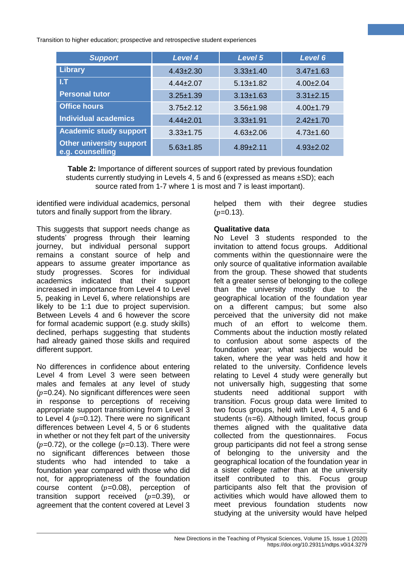| <b>Support</b>                                      | <b>Level 4</b>  | Level 5         | Level 6         |
|-----------------------------------------------------|-----------------|-----------------|-----------------|
| Library                                             | $4.43 \pm 2.30$ | $3.33 \pm 1.40$ | $3.47 \pm 1.63$ |
| 1.7                                                 | $4.44 \pm 2.07$ | $5.13 \pm 1.82$ | $4.00 \pm 2.04$ |
| <b>Personal tutor</b>                               | $3.25 \pm 1.39$ | $3.13 \pm 1.63$ | $3.31 \pm 2.15$ |
| <b>Office hours</b>                                 | $3.75 \pm 2.12$ | $3.56 \pm 1.98$ | $4.00 \pm 1.79$ |
| <b>Individual academics</b>                         | $4.44 \pm 2.01$ | $3.33 + 1.91$   | $2.42 \pm 1.70$ |
| <b>Academic study support</b>                       | $3.33 \pm 1.75$ | $4.63 \pm 2.06$ | $4.73 \pm 1.60$ |
| <b>Other university support</b><br>e.g. counselling | $5.63 \pm 1.85$ | $4.89 \pm 2.11$ | $4.93 \pm 2.02$ |

**Table 2:** Importance of different sources of support rated by previous foundation students currently studying in Levels 4, 5 and 6 (expressed as means ±SD); each source rated from 1-7 where 1 is most and 7 is least important).

identified were individual academics, personal tutors and finally support from the library.

This suggests that support needs change as students' progress through their learning journey, but individual personal support remains a constant source of help and appears to assume greater importance as study progresses. Scores for individual academics indicated that their support increased in importance from Level 4 to Level 5, peaking in Level 6, where relationships are likely to be 1:1 due to project supervision. Between Levels 4 and 6 however the score for formal academic support (e.g. study skills) declined, perhaps suggesting that students had already gained those skills and required different support.

No differences in confidence about entering Level 4 from Level 3 were seen between males and females at any level of study  $(p=0.24)$ . No significant differences were seen in response to perceptions of receiving appropriate support transitioning from Level 3 to Level 4 ( $p=0.12$ ). There were no significant differences between Level 4, 5 or 6 students in whether or not they felt part of the university  $(p=0.72)$ , or the college  $(p=0.13)$ . There were no significant differences between those students who had intended to take a foundation year compared with those who did not, for appropriateness of the foundation course content  $(p=0.08)$ , perception of transition support received  $(p=0.39)$ , or agreement that the content covered at Level 3

helped them with their degree studies  $(p=0.13)$ .

#### **Qualitative data**

No Level 3 students responded to the invitation to attend focus groups. Additional comments within the questionnaire were the only source of qualitative information available from the group. These showed that students felt a greater sense of belonging to the college than the university mostly due to the geographical location of the foundation year on a different campus; but some also perceived that the university did not make much of an effort to welcome them. Comments about the induction mostly related to confusion about some aspects of the foundation year; what subjects would be taken, where the year was held and how it related to the university. Confidence levels relating to Level 4 study were generally but not universally high, suggesting that some students need additional support with transition. Focus group data were limited to two focus groups, held with Level 4, 5 and 6 students  $(n=6)$ . Although limited, focus group themes aligned with the qualitative data collected from the questionnaires. Focus group participants did not feel a strong sense of belonging to the university and the geographical location of the foundation year in a sister college rather than at the university itself contributed to this. Focus group participants also felt that the provision of activities which would have allowed them to meet previous foundation students now studying at the university would have helped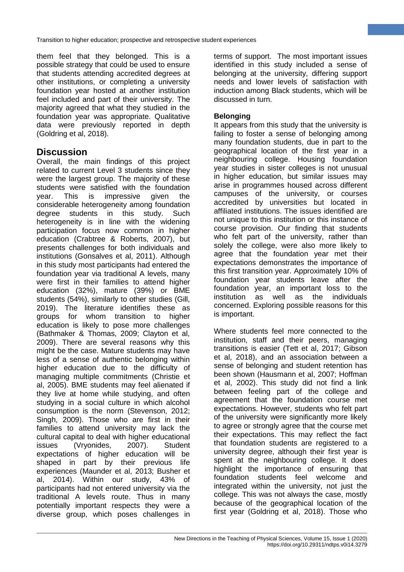them feel that they belonged. This is a possible strategy that could be used to ensure that students attending accredited degrees at other institutions, or completing a university foundation year hosted at another institution feel included and part of their university. The majority agreed that what they studied in the foundation year was appropriate. Qualitative data were previously reported in depth (Goldring et al, 2018).

# **Discussion**

Overall, the main findings of this project related to current Level 3 students since they were the largest group. The majority of these students were satisfied with the foundation year. This is impressive given the considerable heterogeneity among foundation degree students in this study. Such heterogeneity is in line with the widening participation focus now common in higher education (Crabtree & Roberts, 2007), but presents challenges for both individuals and institutions (Gonsalves et al, 2011). Although in this study most participants had entered the foundation year via traditional A levels, many were first in their families to attend higher education (32%), mature (39%) or BME students (54%), similarly to other studies (Gill, 2019). The literature identifies these as groups for whom transition to higher education is likely to pose more challenges (Bathmaker & Thomas, 2009; Clayton et al, 2009). There are several reasons why this might be the case. Mature students may have less of a sense of authentic belonging within higher education due to the difficulty of managing multiple commitments (Christie et al, 2005). BME students may feel alienated if they live at home while studying, and often studying in a social culture in which alcohol consumption is the norm (Stevenson, 2012; Singh, 2009). Those who are first in their families to attend university may lack the cultural capital to deal with higher educational issues (Vryonides, 2007). Student expectations of higher education will be shaped in part by their previous life experiences (Maunder et al, 2013; Busher et al, 2014). Within our study, 43% of participants had not entered university via the traditional A levels route. Thus in many potentially important respects they were a diverse group, which poses challenges in

terms of support. The most important issues identified in this study included a sense of belonging at the university, differing support needs and lower levels of satisfaction with induction among Black students, which will be discussed in turn.

#### **Belonging**

It appears from this study that the university is failing to foster a sense of belonging among many foundation students, due in part to the geographical location of the first year in a neighbouring college. Housing foundation year studies in sister colleges is not unusual in higher education, but similar issues may arise in programmes housed across different campuses of the university, or courses accredited by universities but located in affiliated institutions. The issues identified are not unique to this institution or this instance of course provision. Our finding that students who felt part of the university, rather than solely the college, were also more likely to agree that the foundation year met their expectations demonstrates the importance of this first transition year. Approximately 10% of foundation year students leave after the foundation year, an important loss to the institution as well as the individuals concerned. Exploring possible reasons for this is important.

Where students feel more connected to the institution, staff and their peers, managing transitions is easier (Tett et al, 2017; Gibson et al, 2018), and an association between a sense of belonging and student retention has been shown (Hausmann et al, 2007; Hoffman et al, 2002). This study did not find a link between feeling part of the college and agreement that the foundation course met expectations. However, students who felt part of the university were significantly more likely to agree or strongly agree that the course met their expectations. This may reflect the fact that foundation students are registered to a university degree, although their first year is spent at the neighbouring college. It does highlight the importance of ensuring that foundation students feel welcome and integrated within the university, not just the college. This was not always the case, mostly because of the geographical location of the first year (Goldring et al, 2018). Those who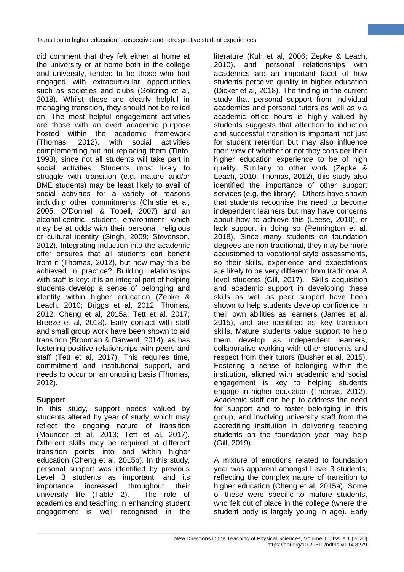did comment that they felt either at home at the university or at home both in the college and university, tended to be those who had engaged with extracurricular opportunities such as societies and clubs (Goldring et al, 2018). Whilst these are clearly helpful in managing transition, they should not be relied on. The most helpful engagement activities are those with an overt academic purpose hosted within the academic framework (Thomas, 2012), with social activities complementing but not replacing them (Tinto, 1993), since not all students will take part in social activities. Students most likely to struggle with transition (e.g. mature and/or BME students) may be least likely to avail of social activities for a variety of reasons including other commitments (Christie et al, 2005; O'Donnell & Tobell, 2007) and an alcohol-centric student environment which may be at odds with their personal, religious or cultural identity (Singh, 2009; Stevenson, 2012). Integrating induction into the academic offer ensures that all students can benefit from it (Thomas, 2012), but how may this be achieved in practice? Building relationships with staff is key: it is an integral part of helping students develop a sense of belonging and identity within higher education (Zepke & Leach, 2010; Briggs et al, 2012; Thomas, 2012; Cheng et al, 2015a; Tett et al, 2017; Breeze et al, 2018). Early contact with staff and small group work have been shown to aid transition (Brooman & Darwent, 2014), as has fostering positive relationships with peers and staff (Tett et al, 2017). This requires time, commitment and institutional support, and needs to occur on an ongoing basis (Thomas, 2012).

## **Support**

In this study, support needs valued by students altered by year of study, which may reflect the ongoing nature of transition (Maunder et al, 2013; Tett et al, 2017). Different skills may be required at different transition points into and within higher education (Cheng et al, 2015b). In this study, personal support was identified by previous Level 3 students as important, and its importance increased throughout their university life (Table 2). The role of academics and teaching in enhancing student engagement is well recognised in the

literature (Kuh et al, 2006; Zepke & Leach, 2010), and personal relationships with academics are an important facet of how students perceive quality in higher education (Dicker et al, 2018). The finding in the current study that personal support from individual academics and personal tutors as well as via academic office hours is highly valued by students suggests that attention to induction and successful transition is important not just for student retention but may also influence their view of whether or not they consider their higher education experience to be of high quality. Similarly to other work (Zepke & Leach, 2010; Thomas, 2012), this study also identified the importance of other support services (e.g. the library). Others have shown that students recognise the need to become independent learners but may have concerns about how to achieve this (Leese, 2010), or lack support in doing so (Pennington et al, 2018). Since many students on foundation degrees are non-traditional, they may be more accustomed to vocational style assessments, so their skills, experience and expectations are likely to be very different from traditional A level students (Gill, 2017). Skills acquisition and academic support in developing these skills as well as peer support have been shown to help students develop confidence in their own abilities as learners (James et al, 2015), and are identified as key transition skills. Mature students value support to help them develop as independent learners, collaborative working with other students and respect from their tutors (Busher et al, 2015). Fostering a sense of belonging within the institution, aligned with academic and social engagement is key to helping students engage in higher education (Thomas, 2012). Academic staff can help to address the need for support and to foster belonging in this group, and involving university staff from the accrediting institution in delivering teaching students on the foundation year may help (Gill, 2019).

A mixture of emotions related to foundation year was apparent amongst Level 3 students, reflecting the complex nature of transition to higher education (Cheng et al, 2015a). Some of these were specific to mature students, who felt out of place in the college (where the student body is largely young in age). Early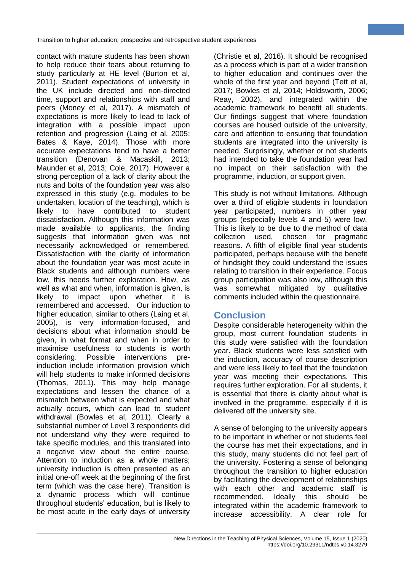contact with mature students has been shown to help reduce their fears about returning to study particularly at HE level (Burton et al, 2011). Student expectations of university in the UK include directed and non-directed time, support and relationships with staff and peers (Money et al, 2017). A mismatch of expectations is more likely to lead to lack of integration with a possible impact upon retention and progression (Laing et al, 2005; Bates & Kaye, 2014). Those with more accurate expectations tend to have a better transition (Denovan & Macaskill, 2013; Maunder et al, 2013; Cole, 2017). However a strong perception of a lack of clarity about the nuts and bolts of the foundation year was also expressed in this study (e.g. modules to be undertaken, location of the teaching), which is likely to have contributed to student dissatisfaction. Although this information was made available to applicants, the finding suggests that information given was not necessarily acknowledged or remembered. Dissatisfaction with the clarity of information about the foundation year was most acute in Black students and although numbers were low, this needs further exploration. How, as well as what and when, information is given, is likely to impact upon whether it is remembered and accessed. Our induction to higher education, similar to others (Laing et al, 2005), is very information-focused, and decisions about what information should be given, in what format and when in order to maximise usefulness to students is worth considering. Possible interventions preinduction include information provision which will help students to make informed decisions (Thomas, 2011). This may help manage expectations and lessen the chance of a mismatch between what is expected and what actually occurs, which can lead to student withdrawal (Bowles et al, 2011). Clearly a substantial number of Level 3 respondents did not understand why they were required to take specific modules, and this translated into a negative view about the entire course. Attention to induction as a whole matters; university induction is often presented as an initial one-off week at the beginning of the first term (which was the case here). Transition is a dynamic process which will continue throughout students' education, but is likely to be most acute in the early days of university (Christie et al, 2016). It should be recognised as a process which is part of a wider transition to higher education and continues over the whole of the first year and beyond (Tett et al, 2017; Bowles et al, 2014; Holdsworth, 2006; Reay, 2002), and integrated within the academic framework to benefit all students. Our findings suggest that where foundation courses are housed outside of the university, care and attention to ensuring that foundation students are integrated into the university is needed. Surprisingly, whether or not students had intended to take the foundation year had no impact on their satisfaction with the programme, induction, or support given.

This study is not without limitations. Although over a third of eligible students in foundation year participated, numbers in other year groups (especially levels 4 and 5) were low. This is likely to be due to the method of data collection used, chosen for pragmatic reasons. A fifth of eligible final year students participated, perhaps because with the benefit of hindsight they could understand the issues relating to transition in their experience. Focus group participation was also low, although this was somewhat mitigated by qualitative comments included within the questionnaire.

# **Conclusion**

Despite considerable heterogeneity within the group, most current foundation students in this study were satisfied with the foundation year. Black students were less satisfied with the induction, accuracy of course description and were less likely to feel that the foundation year was meeting their expectations. This requires further exploration. For all students, it is essential that there is clarity about what is involved in the programme, especially if it is delivered off the university site.

A sense of belonging to the university appears to be important in whether or not students feel the course has met their expectations, and in this study, many students did not feel part of the university. Fostering a sense of belonging throughout the transition to higher education by facilitating the development of relationships with each other and academic staff is recommended. Ideally this should be integrated within the academic framework to increase accessibility. A clear role for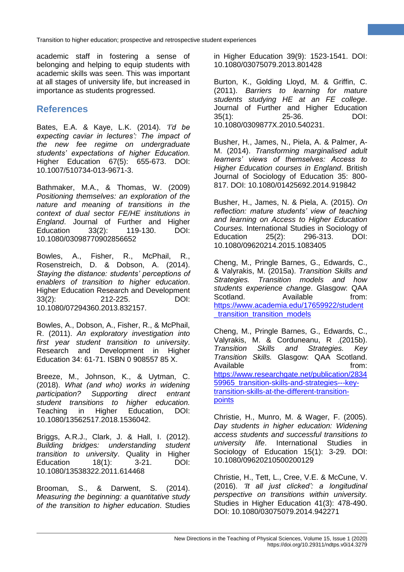academic staff in fostering a sense of belonging and helping to equip students with academic skills was seen. This was important at all stages of university life, but increased in importance as students progressed.

# **References**

Bates, E.A. & Kaye, L.K. (2014). *'I'd be expecting caviar in lectures': The impact of the new fee regime on undergraduate students' expectations of higher Education.* Higher Education 67(5): 655-673. DOI: 10.1007/510734-013-9671-3.

Bathmaker, M.A., & Thomas, W. (2009) *Positioning themselves: an exploration of the nature and meaning of transitions in the context of dual sector FE/HE institutions in England*. Journal of Further and Higher Education 33(2): 119-130. DOI: 10.1080/03098770902856652

Bowles, A., Fisher, R., McPhail, R., Rosenstreich, D. & Dobson, A. (2014). *Staying the distance: students' perceptions of enablers of transition to higher education*. Higher Education Research and Development 33(2): 212-225. DOI: 10.1080/07294360.2013.832157.

Bowles, A., Dobson, A., Fisher, R., & McPhail, R. (2011). *An exploratory investigation into first year student transition to university*. Research and Development in Higher Education 34: 61-71. ISBN 0 908557 85 X.

Breeze, M., Johnson, K., & Uytman, C. (2018). *What (and who) works in widening participation? Supporting direct entrant student transitions to higher education.* Teaching in Higher Education, DOI: 10.1080/13562517.2018.1536042.

Briggs, A.R.J., Clark, J. & Hall, I. (2012). *Building bridges: understanding student transition to university*. Quality in Higher Education 18(1): 3-21. DOI: 10.1080/13538322.2011.614468

Brooman, S., & Darwent, S. (2014). *Measuring the beginning: a quantitative study of the transition to higher education*. Studies

in Higher Education 39(9): 1523-1541. DOI: 10.1080/03075079.2013.801428

Burton, K., Golding Lloyd, M. & Griffin, C. (2011). *Barriers to learning for mature students studying HE at an FE college*. Journal of Further and Higher Education 35(1): 25-36. DOI: 10.1080/0309877X.2010.540231.

Busher, H., James, N., Piela, A. & Palmer, A-M. (2014). *Transforming marginalised adult learners' views of themselves: Access to Higher Education courses in England*. British Journal of Sociology of Education 35: 800- 817. DOI: 10.1080/01425692.2014.919842

Busher, H., James, N. & Piela, A. (2015). *On reflection: mature students' view of teaching and learning on Access to Higher Education Courses.* International Studies in Sociology of Education 25(2): 296-313. DOI: 10.1080/09620214.2015.1083405

Cheng, M., Pringle Barnes, G., Edwards, C., & Valyrakis, M. (2015a). *Transition Skills and Strategies. Transition models and how students experience change*. Glasgow: QAA Scotland. Available from: [https://www.academia.edu/17659922/student](https://www.academia.edu/17659922/student_transition_transition_models) transition transition models

Cheng, M., Pringle Barnes, G., Edwards, C., Valyrakis, M. & Corduneanu, R .(2015b). *Transition Skills and Strategies. Key Transition Skills.* Glasgow: QAA Scotland. Available **from:** [https://www.researchgate.net/publication/2834](https://www.researchgate.net/publication/283459965_transition-skills-and-strategies---key-transition-skills-at-the-different-transition-points) [59965\\_transition-skills-and-strategies---key](https://www.researchgate.net/publication/283459965_transition-skills-and-strategies---key-transition-skills-at-the-different-transition-points)[transition-skills-at-the-different-transition](https://www.researchgate.net/publication/283459965_transition-skills-and-strategies---key-transition-skills-at-the-different-transition-points)[points](https://www.researchgate.net/publication/283459965_transition-skills-and-strategies---key-transition-skills-at-the-different-transition-points)

Christie, H., Munro, M. & Wager, F. (2005). *Day students in higher education: Widening access students and successful transitions to university life*. International Studies in Sociology of Education 15(1): 3-29. DOI: 10.1080/09620210500200129

Christie, H., Tett, L., Cree, V.E. & McCune, V. (2016). *'It all just clicked': a longitudinal perspective on transitions within university.* Studies in Higher Education 41(3): 478-490. DOI: 10.1080/03075079.2014.942271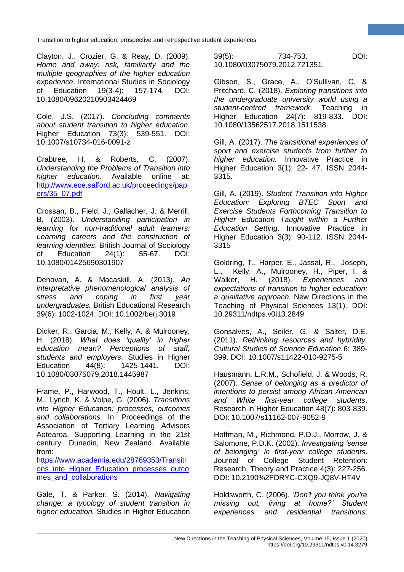Clayton, J., Crozier, G. & Reay, D. (2009). *Home and away: risk, familiarity and the multiple geographies of the higher education experience*. International Studies in Sociology of Education 19(3-4): 157-174. DOI: 10.1080/09620210903424469

Cole, J.S. (2017). *Concluding comments about student transition to higher education*. Higher Education 73(3): 539-551. DOI: 10.1007/s10734-016-0091-z

Crabtree, H. & Roberts, C. (2007). *Understanding the Problems of Transition into higher education*. Available online at: [http://www.ece.salford.ac.uk/proceedings/pap](http://www.ece.salford.ac.uk/proceedings/papers/35_07.pdf) [ers/35\\_07.pdf](http://www.ece.salford.ac.uk/proceedings/papers/35_07.pdf)

Crossan, B., Field, J., Gallacher, J. & Merrill, B. (2003). *Understanding participation in learning for non-traditional adult learners: Learning careers and the construction of learning identities*. British Journal of Sociology of Education 24(1): 55-67. DOI: 10.1080/01425690301907

Denovan, A. & Macaskill, A. (2013). *An interpretative phenomenological analysis of stress and coping in first year undergraduates.* British Educational Research 39(6): 1002-1024. DOI: 10.1002/berj.3019

Dicker, R., Garcia, M., Kelly, A. & Mulrooney, H. (2018). *What does 'quality' in higher education mean? Perceptions of staff, students and employers*. Studies in Higher Education 44(8): 1425-1441. DOI: 10.1080/03075079.2018.1445987

Frame, P., Harwood, T., Hoult, L., Jenkins, M., Lynch, K. & Volpe, G. (2006). *Transitions into Higher Education: processes, outcomes and collaborations.* In: Proceedings of the Association of Tertiary Learning Advisors Aotearoa, Supporting Learning in the 21st century. Dunedin, New Zealand. Available from:

[https://www.academia.edu/28769353/Transiti](https://www.academia.edu/28769353/Transitions_into_Higher_Education_processes_outcomes_and_collaborations) [ons\\_into\\_Higher\\_Education\\_processes\\_outco](https://www.academia.edu/28769353/Transitions_into_Higher_Education_processes_outcomes_and_collaborations) mes and collaborations

Gale, T. & Parker, S. (2014). *Navigating change: a typology of student transition in higher education.* Studies in Higher Education 39(5): 734-753. DOI: 10.1080/03075079.2012.721351.

Gibson, S., Grace, A., O'Sullivan, C. & Pritchard, C. (2018). *Exploring transitions into the undergraduate university world using a student-centred framework*. Teaching in Higher Education 24(7): 819-833. DOI: 10.1080/13562517.2018.1511538

Gill, A. (2017). *The transitional experiences of sport and exercise students from further to higher education.* Innovative Practice in Higher Education 3(1): 22- 47. ISSN 2044- 3315.

Gill, A. (2019). *Student Transition into Higher Education: Exploring BTEC Sport and Exercise Students Forthcoming Transition to Higher Education Taught within a Further Education Setting*. Innovative Practice in Higher Education 3(3): 90-112. ISSN: 2044‐ 3315

Goldring, T., Harper, E., Jassal, R., Joseph, L., Kelly, A., Mulrooney, H., Piper, I. & Walker, H. (2018). *Experiences and expectations of transition to higher education: a qualitative approach.* New Directions in the Teaching of Physical Sciences 13(1). DOI: 10.29311/ndtps.v0i13.2849

Gonsalves, A., Seiler, G. & Salter, D.E. (2011). *Rethinking resources and hybridity. Cultural Studies of Science Education* 6: 389- 399. DOI: 10.1007/s11422-010-9275-5

Hausmann, L.R.M., Schofield, J. & Woods, R. (2007). *Sense of belonging as a predictor of intentions to persist among African American and White first-year college students*. Research in Higher Education 48(7): 803-839. DOI: 10.1007/s11162-007-9052-9

Hoffman, M., Richmond, P.D.J., Morrow, J. & Salomone, P.D.K. (2002). *Investigating 'sense of belonging' in first-year college students*. Journal of College Student Retention: Research, Theory and Practice 4(3): 227-256. DOI: 10.2190%2FDRYC-CXQ9-JQ8V-HT4V

Holdsworth, C. (2006). *'Don't you think you're missing out, living at home?' Student experiences and residential transitions*.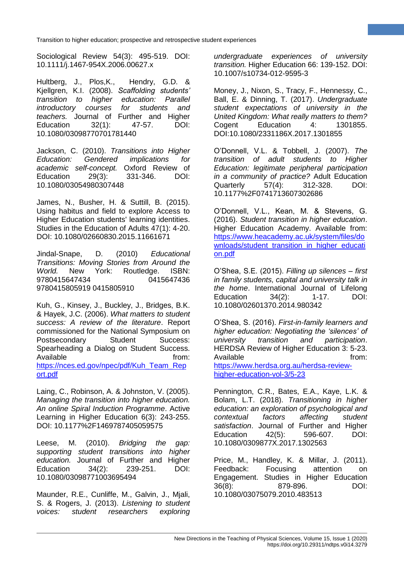Sociological Review 54(3): 495-519. DOI: 10.1111/j.1467-954X.2006.00627.x

Hultberg, J., Plos,K., Hendry, G.D. & Kjellgren, K.I. (2008). *Scaffolding students' transition to higher education: Parallel introductory courses for students and teachers.* Journal of Further and Higher Education 32(1): 47-57. DOI: 10.1080/03098770701781440

Jackson, C. (2010). *Transitions into Higher Education: Gendered implications for academic self-concept.* Oxford Review of Education 29(3): 331-346. DOI: 10.1080/03054980307448

James, N., Busher, H. & Suttill, B. (2015). Using habitus and field to explore Access to Higher Education students' learning identities. Studies in the Education of Adults 47(1): 4-20. DOI: 10.1080/02660830.2015.11661671

Jindal-Snape, D. (2010) *Educational Transitions: Moving Stories from Around the World.* New York: Routledge. ISBN: 9780415647434 0415647436 9780415805919 0415805910

Kuh, G., Kinsey, J., Buckley, J., Bridges, B.K. & Hayek, J.C. (2006). *What matters to student success: A review of the literature*. Report commissioned for the National Symposium on Postsecondary Student Success: Spearheading a Dialog on Student Success. Available from: the from: [https://nces.ed.gov/npec/pdf/Kuh\\_Team\\_Rep](https://nces.ed.gov/npec/pdf/Kuh_Team_Report.pdf) [ort.pdf](https://nces.ed.gov/npec/pdf/Kuh_Team_Report.pdf)

Laing, C., Robinson, A. & Johnston, V. (2005). *Managing the transition into higher education. An online Spiral Induction Programme*. Active Learning in Higher Education 6(3): 243-255. DOI: 10.1177%2F1469787405059575

Leese, M. (2010). *Bridging the gap: supporting student transitions into higher education.* Journal of Further and Higher Education 34(2): 239-251. DOI: 10.1080/03098771003695494

Maunder, R.E., Cunliffe, M., Galvin, J., Mjali, S. & Rogers, J. (2013). *Listening to student voices: student researchers exploring* 

*undergraduate experiences of university transition.* Higher Education 66: 139-152. DOI: 10.1007/s10734-012-9595-3

Money, J., Nixon, S., Tracy, F., Hennessy, C., Ball, E. & Dinning, T. (2017). *Undergraduate student expectations of university in the United Kingdom: What really matters to them?* Cogent Education 4: 1301855. DOI:10.1080/2331186X.2017.1301855

O'Donnell, V.L. & Tobbell, J. (2007). *The transition of adult students to Higher Education: legitimate peripheral participation in a community of practice?* Adult Education Quarterly 57(4): 312-328. DOI: 10.1177%2F0741713607302686

O'Donnell, V.L., Kean, M. & Stevens, G. (2016). *Student transition in higher education*. Higher Education Academy. Available from: [https://www.heacademy.ac.uk/system/files/do](https://www.heacademy.ac.uk/system/files/downloads/student_transition_in_higher_education.pdf) [wnloads/student\\_transition\\_in\\_higher\\_educati](https://www.heacademy.ac.uk/system/files/downloads/student_transition_in_higher_education.pdf) [on.pdf](https://www.heacademy.ac.uk/system/files/downloads/student_transition_in_higher_education.pdf)

O'Shea, S.E. (2015). *Filling up silences – first in family students, capital and university talk in the home*. International Journal of Lifelong Education 34(2): 1-17. DOI: 10.1080/02601370.2014.980342

O'Shea, S. (2016). *First-in-family learners and higher education: Negotiating the 'silences' of university transition and participation*. HERDSA Review of Higher Education 3: 5-23. Available **from:** [https://www.herdsa.org.au/herdsa-review](https://www.herdsa.org.au/herdsa-review-higher-education-vol-3/5-23)[higher-education-vol-3/5-23](https://www.herdsa.org.au/herdsa-review-higher-education-vol-3/5-23)

Pennington, C.R., Bates, E.A., Kaye, L.K. & Bolam, L.T. (2018). *Transitioning in higher education: an exploration of psychological and contextual factors affecting student satisfaction*. Journal of Further and Higher Education 42(5): 596-607. DOI: 10.1080/0309877X.2017.1302563

Price, M., Handley, K. & Millar, J. (2011). Feedback: Focusing attention on Engagement. Studies in Higher Education 36(8): 879-896. DOI: 10.1080/03075079.2010.483513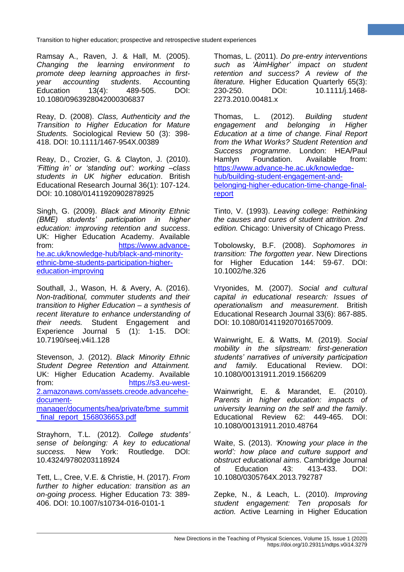Ramsay A., Raven, J. & Hall, M. (2005). *Changing the learning environment to promote deep learning approaches in firstyear accounting students*. Accounting Education 13(4): 489-505. DOI: 10.1080/0963928042000306837

Reay, D. (2008). *Class, Authenticity and the Transition to Higher Education for Mature Students.* Sociological Review 50 (3): 398- 418. DOI: 10.1111/1467-954X.00389

Reay, D., Crozier, G. & Clayton, J. (2010). *'Fitting in' or 'standing out': working –class students in UK higher education*. British Educational Research Journal 36(1): 107-124. DOI: 10.1080/01411920902878925

Singh, G. (2009). *Black and Minority Ethnic (BME) students' participation in higher education: improving retention and success*. UK: Higher Education Academy. Available from: [https://www.advance](https://www.advance-he.ac.uk/knowledge-hub/black-and-minority-ethnic-bme-students-participation-higher-education-improving)[he.ac.uk/knowledge-hub/black-and-minority](https://www.advance-he.ac.uk/knowledge-hub/black-and-minority-ethnic-bme-students-participation-higher-education-improving)[ethnic-bme-students-participation-higher](https://www.advance-he.ac.uk/knowledge-hub/black-and-minority-ethnic-bme-students-participation-higher-education-improving)[education-improving](https://www.advance-he.ac.uk/knowledge-hub/black-and-minority-ethnic-bme-students-participation-higher-education-improving)

Southall, J., Wason, H. & Avery, A. (2016). *Non-traditional, commuter students and their transition to Higher Education – a synthesis of recent literature to enhance understanding of their needs.* Student Engagement and Experience Journal 5 (1): 1-15. DOI: 10.7190/seej.v4i1.128

Stevenson, J. (2012). *Black Minority Ethnic Student Degree Retention and Attainment.* UK: Higher Education Academy. Available from: [https://s3.eu-west-](https://s3.eu-west-2.amazonaws.com/assets.creode.advancehe-document-manager/documents/hea/private/bme_summit_final_report_1568036653.pdf)[2.amazonaws.com/assets.creode.advancehe](https://s3.eu-west-2.amazonaws.com/assets.creode.advancehe-document-manager/documents/hea/private/bme_summit_final_report_1568036653.pdf)[document](https://s3.eu-west-2.amazonaws.com/assets.creode.advancehe-document-manager/documents/hea/private/bme_summit_final_report_1568036653.pdf)[manager/documents/hea/private/bme\\_summit](https://s3.eu-west-2.amazonaws.com/assets.creode.advancehe-document-manager/documents/hea/private/bme_summit_final_report_1568036653.pdf) [\\_final\\_report\\_1568036653.pdf](https://s3.eu-west-2.amazonaws.com/assets.creode.advancehe-document-manager/documents/hea/private/bme_summit_final_report_1568036653.pdf)

Strayhorn, T.L. (2012). *College students' sense of belonging: A key to educational success.* New York: Routledge. DOI: 10.4324/9780203118924

Tett, L., Cree, V.E. & Christie, H. (2017). *From further to higher education: transition as an on-going process.* Higher Education 73: 389- 406. DOI: 10.1007/s10734-016-0101-1

Thomas, L. (2011). *Do pre-entry interventions such as 'AimHigher' impact on student retention and success? A review of the literature.* Higher Education Quarterly 65(3): 230-250. DOI: 10.1111/j.1468- 2273.2010.00481.x

Thomas, L. (2012). *Building student engagement and belonging in Higher Education at a time of change. Final Report from the What Works? Student Retention and Success programme*. London: HEA/Paul Hamlyn Foundation. Available from: [https://www.advance-he.ac.uk/knowledge](https://www.advance-he.ac.uk/knowledge-hub/building-student-engagement-and-belonging-higher-education-time-change-final-report)[hub/building-student-engagement-and](https://www.advance-he.ac.uk/knowledge-hub/building-student-engagement-and-belonging-higher-education-time-change-final-report)[belonging-higher-education-time-change-final](https://www.advance-he.ac.uk/knowledge-hub/building-student-engagement-and-belonging-higher-education-time-change-final-report)[report](https://www.advance-he.ac.uk/knowledge-hub/building-student-engagement-and-belonging-higher-education-time-change-final-report)

Tinto, V. (1993). *Leaving college: Rethinking the causes and cures of student attrition. 2nd edition.* Chicago: University of Chicago Press.

Tobolowsky, B.F. (2008). *Sophomores in transition: The forgotten year*. New Directions for Higher Education 144: 59-67. DOI: 10.1002/he.326

Vryonides, M. (2007). *Social and cultural capital in educational research: Issues of operationalism and measurement*. British Educational Research Journal 33(6): 867-885. DOI: 10.1080/01411920701657009.

Wainwright, E. & Watts, M. (2019). *Social mobility in the slipstream: first-generation students' narratives of university participation and family.* Educational Review. DOI: 10.1080/00131911.2019.1566209

Wainwright, E. & Marandet, E. (2010). *Parents in higher education: impacts of university learning on the self and the family*. Educational Review 62: 449-465. DOI: 10.1080/00131911.2010.48764

Waite, S. (2013). *'Knowing your place in the world': how place and culture support and obstruct educational aims*. Cambridge Journal of Education 43: 413-433. DOI: 10.1080/0305764X.2013.792787

Zepke, N., & Leach, L. (2010). *Improving student engagement: Ten proposals for action.* Active Learning in Higher Education